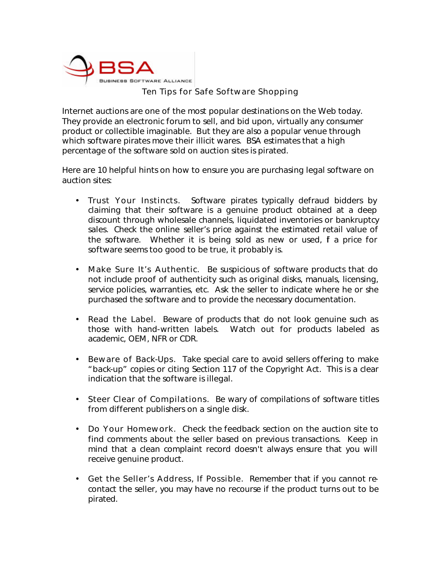

## Ten Tips for Safe Software Shopping

Internet auctions are one of the most popular destinations on the Web today. They provide an electronic forum to sell, and bid upon, virtually any consumer product or collectible imaginable. But they are also a popular venue through which software pirates move their illicit wares. BSA estimates that a high percentage of the software sold on auction sites is pirated.

Here are 10 helpful hints on how to ensure you are purchasing legal software on auction sites:

- Trust Your Instincts. Software pirates typically defraud bidders by claiming that their software is a genuine product obtained at a deep discount through wholesale channels, liquidated inventories or bankruptcy sales. Check the online seller's price against the estimated retail value of the software. Whether it is being sold as new or used, f a price for software seems too good to be true, it probably is.
- Make Sure It's Authentic. Be suspicious of software products that do not include proof of authenticity such as original disks, manuals, licensing, service policies, warranties, etc. Ask the seller to indicate where he or she purchased the software and to provide the necessary documentation.
- **Read the Label.** Beware of products that do not look genuine such as those with hand-written labels. Watch out for products labeled as academic, OEM, NFR or CDR.
- Beware of Back-Ups. Take special care to avoid sellers offering to make "back-up" copies or citing Section 117 of the Copyright Act. This is a clear indication that the software is illegal.
- Steer Clear of Compilations. Be wary of compilations of software titles from different publishers on a single disk.
- Do Your Homework. Check the feedback section on the auction site to find comments about the seller based on previous transactions. Keep in mind that a clean complaint record doesn't always ensure that you will receive genuine product.
- Get the Seller's Address, If Possible. Remember that if you cannot recontact the seller, you may have no recourse if the product turns out to be pirated.